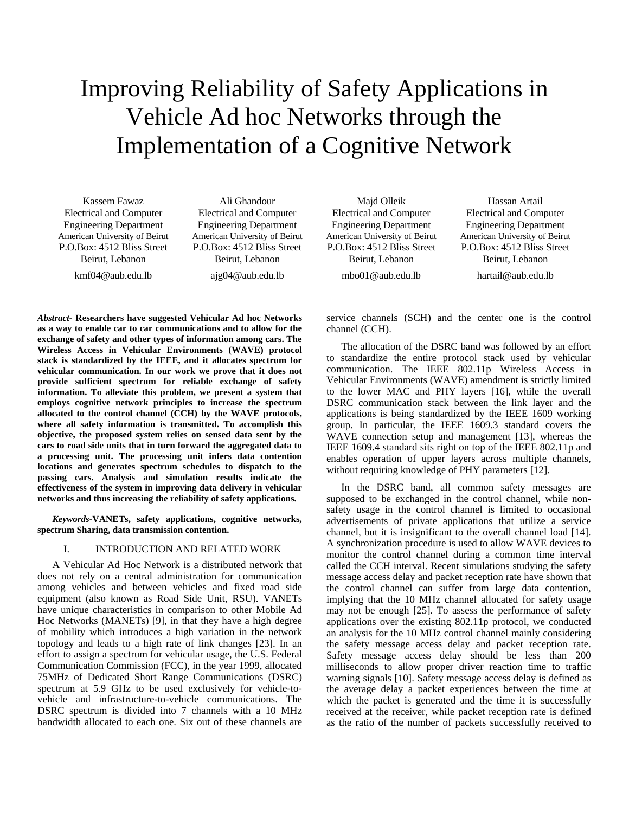# Improving Reliability of Safety Applications in Vehicle Ad hoc Networks through the Implementation of a Cognitive Network

Kassem Fawaz Electrical and Computer Engineering Department American University of Beirut P.O.Box: 4512 Bliss Street Beirut, Lebanon

kmf04@aub.edu.lb

Ali Ghandour Electrical and Computer Engineering Department American University of Beirut P.O.Box: 4512 Bliss Street Beirut, Lebanon

ajg04@aub.edu.lb

Electrical and Computer Engineering Department American University of Beirut P.O.Box: 4512 Bliss Street Beirut, Lebanon mbo01@aub.edu.lb

Majd Olleik

Hassan Artail Electrical and Computer Engineering Department American University of Beirut P.O.Box: 4512 Bliss Street Beirut, Lebanon hartail@aub.edu.lb

*Abstract-* **Researchers have suggested Vehicular Ad hoc Networks as a way to enable car to car communications and to allow for the exchange of safety and other types of information among cars. The Wireless Access in Vehicular Environments (WAVE) protocol stack is standardized by the IEEE, and it allocates spectrum for vehicular communication. In our work we prove that it does not provide sufficient spectrum for reliable exchange of safety information. To alleviate this problem, we present a system that employs cognitive network principles to increase the spectrum allocated to the control channel (CCH) by the WAVE protocols, where all safety information is transmitted. To accomplish this objective, the proposed system relies on sensed data sent by the cars to road side units that in turn forward the aggregated data to a processing unit. The processing unit infers data contention locations and generates spectrum schedules to dispatch to the passing cars. Analysis and simulation results indicate the effectiveness of the system in improving data delivery in vehicular networks and thus increasing the reliability of safety applications.** 

*Keywords-***VANETs, safety applications, cognitive networks, spectrum Sharing, data transmission contention.** 

#### I. INTRODUCTION AND RELATED WORK

A Vehicular Ad Hoc Network is a distributed network that does not rely on a central administration for communication among vehicles and between vehicles and fixed road side equipment (also known as Road Side Unit, RSU). VANETs have unique characteristics in comparison to other Mobile Ad Hoc Networks (MANETs) [9], in that they have a high degree of mobility which introduces a high variation in the network topology and leads to a high rate of link changes [23]. In an effort to assign a spectrum for vehicular usage, the U.S. Federal Communication Commission (FCC), in the year 1999, allocated 75MHz of Dedicated Short Range Communications (DSRC) spectrum at 5.9 GHz to be used exclusively for vehicle-tovehicle and infrastructure-to-vehicle communications. The DSRC spectrum is divided into 7 channels with a 10 MHz bandwidth allocated to each one. Six out of these channels are

service channels (SCH) and the center one is the control channel (CCH).

The allocation of the DSRC band was followed by an effort to standardize the entire protocol stack used by vehicular communication. The IEEE 802.11p Wireless Access in Vehicular Environments (WAVE) amendment is strictly limited to the lower MAC and PHY layers [16], while the overall DSRC communication stack between the link layer and the applications is being standardized by the IEEE 1609 working group. In particular, the IEEE 1609.3 standard covers the WAVE connection setup and management [13], whereas the IEEE 1609.4 standard sits right on top of the IEEE 802.11p and enables operation of upper layers across multiple channels, without requiring knowledge of PHY parameters [12].

In the DSRC band, all common safety messages are supposed to be exchanged in the control channel, while nonsafety usage in the control channel is limited to occasional advertisements of private applications that utilize a service channel, but it is insignificant to the overall channel load [14]. A synchronization procedure is used to allow WAVE devices to monitor the control channel during a common time interval called the CCH interval. Recent simulations studying the safety message access delay and packet reception rate have shown that the control channel can suffer from large data contention, implying that the 10 MHz channel allocated for safety usage may not be enough [25]. To assess the performance of safety applications over the existing 802.11p protocol, we conducted an analysis for the 10 MHz control channel mainly considering the safety message access delay and packet reception rate. Safety message access delay should be less than 200 milliseconds to allow proper driver reaction time to traffic warning signals [10]. Safety message access delay is defined as the average delay a packet experiences between the time at which the packet is generated and the time it is successfully received at the receiver, while packet reception rate is defined as the ratio of the number of packets successfully received to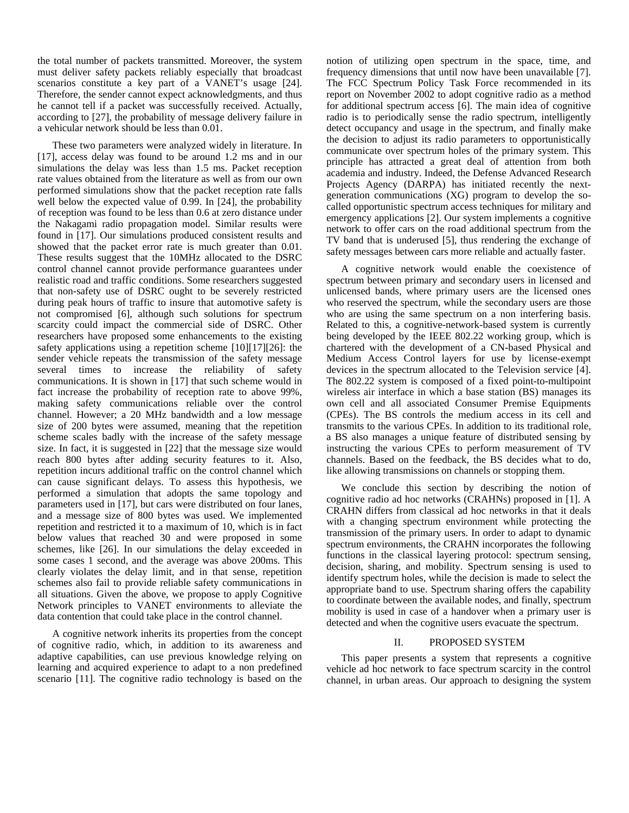the total number of packets transmitted. Moreover, the system must deliver safety packets reliably especially that broadcast scenarios constitute a key part of a VANET's usage [24]. Therefore, the sender cannot expect acknowledgments, and thus he cannot tell if a packet was successfully received. Actually, according to [27], the probability of message delivery failure in a vehicular network should be less than 0.01.

These two parameters were analyzed widely in literature. In [17], access delay was found to be around 1.2 ms and in our simulations the delay was less than 1.5 ms. Packet reception rate values obtained from the literature as well as from our own performed simulations show that the packet reception rate falls well below the expected value of 0.99. In [24], the probability of reception was found to be less than 0.6 at zero distance under the Nakagami radio propagation model. Similar results were found in [17]. Our simulations produced consistent results and showed that the packet error rate is much greater than 0.01. These results suggest that the 10MHz allocated to the DSRC control channel cannot provide performance guarantees under realistic road and traffic conditions. Some researchers suggested that non-safety use of DSRC ought to be severely restricted during peak hours of traffic to insure that automotive safety is not compromised [6], although such solutions for spectrum scarcity could impact the commercial side of DSRC. Other researchers have proposed some enhancements to the existing safety applications using a repetition scheme [10][17][26]: the sender vehicle repeats the transmission of the safety message several times to increase the reliability of safety communications. It is shown in [17] that such scheme would in fact increase the probability of reception rate to above 99%, making safety communications reliable over the control channel. However; a 20 MHz bandwidth and a low message size of 200 bytes were assumed, meaning that the repetition scheme scales badly with the increase of the safety message size. In fact, it is suggested in [22] that the message size would reach 800 bytes after adding security features to it. Also, repetition incurs additional traffic on the control channel which can cause significant delays. To assess this hypothesis, we performed a simulation that adopts the same topology and parameters used in [17], but cars were distributed on four lanes, and a message size of 800 bytes was used. We implemented repetition and restricted it to a maximum of 10, which is in fact below values that reached 30 and were proposed in some schemes, like [26]. In our simulations the delay exceeded in some cases 1 second, and the average was above 200ms. This clearly violates the delay limit, and in that sense, repetition schemes also fail to provide reliable safety communications in all situations. Given the above, we propose to apply Cognitive Network principles to VANET environments to alleviate the data contention that could take place in the control channel.

A cognitive network inherits its properties from the concept of cognitive radio, which, in addition to its awareness and adaptive capabilities, can use previous knowledge relying on learning and acquired experience to adapt to a non predefined scenario [11]. The cognitive radio technology is based on the

notion of utilizing open spectrum in the space, time, and frequency dimensions that until now have been unavailable [7]. The FCC Spectrum Policy Task Force recommended in its report on November 2002 to adopt cognitive radio as a method for additional spectrum access [6]. The main idea of cognitive radio is to periodically sense the radio spectrum, intelligently detect occupancy and usage in the spectrum, and finally make the decision to adjust its radio parameters to opportunistically communicate over spectrum holes of the primary system. This principle has attracted a great deal of attention from both academia and industry. Indeed, the Defense Advanced Research Projects Agency (DARPA) has initiated recently the nextgeneration communications (XG) program to develop the socalled opportunistic spectrum access techniques for military and emergency applications [2]. Our system implements a cognitive network to offer cars on the road additional spectrum from the TV band that is underused [5], thus rendering the exchange of safety messages between cars more reliable and actually faster.

A cognitive network would enable the coexistence of spectrum between primary and secondary users in licensed and unlicensed bands, where primary users are the licensed ones who reserved the spectrum, while the secondary users are those who are using the same spectrum on a non interfering basis. Related to this, a cognitive-network-based system is currently being developed by the IEEE 802.22 working group, which is chartered with the development of a CN-based Physical and Medium Access Control layers for use by license-exempt devices in the spectrum allocated to the Television service [4]. The 802.22 system is composed of a fixed point-to-multipoint wireless air interface in which a base station (BS) manages its own cell and all associated Consumer Premise Equipments (CPEs). The BS controls the medium access in its cell and transmits to the various CPEs. In addition to its traditional role, a BS also manages a unique feature of distributed sensing by instructing the various CPEs to perform measurement of TV channels. Based on the feedback, the BS decides what to do, like allowing transmissions on channels or stopping them.

We conclude this section by describing the notion of cognitive radio ad hoc networks (CRAHNs) proposed in [1]. A CRAHN differs from classical ad hoc networks in that it deals with a changing spectrum environment while protecting the transmission of the primary users. In order to adapt to dynamic spectrum environments, the CRAHN incorporates the following functions in the classical layering protocol: spectrum sensing, decision, sharing, and mobility. Spectrum sensing is used to identify spectrum holes, while the decision is made to select the appropriate band to use. Spectrum sharing offers the capability to coordinate between the available nodes, and finally, spectrum mobility is used in case of a handover when a primary user is detected and when the cognitive users evacuate the spectrum.

## II. PROPOSED SYSTEM

This paper presents a system that represents a cognitive vehicle ad hoc network to face spectrum scarcity in the control channel, in urban areas. Our approach to designing the system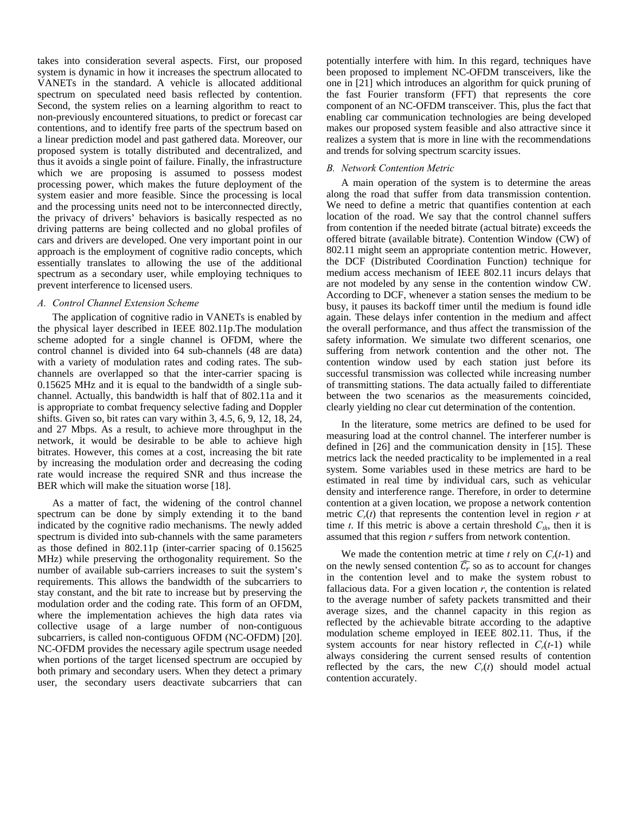takes into consideration several aspects. First, our proposed system is dynamic in how it increases the spectrum allocated to VANETs in the standard. A vehicle is allocated additional spectrum on speculated need basis reflected by contention. Second, the system relies on a learning algorithm to react to non-previously encountered situations, to predict or forecast car contentions, and to identify free parts of the spectrum based on a linear prediction model and past gathered data. Moreover, our proposed system is totally distributed and decentralized, and thus it avoids a single point of failure. Finally, the infrastructure which we are proposing is assumed to possess modest processing power, which makes the future deployment of the system easier and more feasible. Since the processing is local and the processing units need not to be interconnected directly, the privacy of drivers' behaviors is basically respected as no driving patterns are being collected and no global profiles of cars and drivers are developed. One very important point in our approach is the employment of cognitive radio concepts, which essentially translates to allowing the use of the additional spectrum as a secondary user, while employing techniques to prevent interference to licensed users.

#### *A. Control Channel Extension Scheme*

The application of cognitive radio in VANETs is enabled by the physical layer described in IEEE 802.11p.The modulation scheme adopted for a single channel is OFDM, where the control channel is divided into 64 sub-channels (48 are data) with a variety of modulation rates and coding rates. The subchannels are overlapped so that the inter-carrier spacing is 0.15625 MHz and it is equal to the bandwidth of a single subchannel. Actually, this bandwidth is half that of 802.11a and it is appropriate to combat frequency selective fading and Doppler shifts. Given so, bit rates can vary within 3, 4.5, 6, 9, 12, 18, 24, and 27 Mbps. As a result, to achieve more throughput in the network, it would be desirable to be able to achieve high bitrates. However, this comes at a cost, increasing the bit rate by increasing the modulation order and decreasing the coding rate would increase the required SNR and thus increase the BER which will make the situation worse [18].

As a matter of fact, the widening of the control channel spectrum can be done by simply extending it to the band indicated by the cognitive radio mechanisms. The newly added spectrum is divided into sub-channels with the same parameters as those defined in 802.11p (inter-carrier spacing of 0.15625 MHz) while preserving the orthogonality requirement. So the number of available sub-carriers increases to suit the system's requirements. This allows the bandwidth of the subcarriers to stay constant, and the bit rate to increase but by preserving the modulation order and the coding rate. This form of an OFDM, where the implementation achieves the high data rates via collective usage of a large number of non-contiguous subcarriers, is called non-contiguous OFDM (NC-OFDM) [20]. NC-OFDM provides the necessary agile spectrum usage needed when portions of the target licensed spectrum are occupied by both primary and secondary users. When they detect a primary user, the secondary users deactivate subcarriers that can

potentially interfere with him. In this regard, techniques have been proposed to implement NC-OFDM transceivers, like the one in [21] which introduces an algorithm for quick pruning of the fast Fourier transform (FFT) that represents the core component of an NC-OFDM transceiver. This, plus the fact that enabling car communication technologies are being developed makes our proposed system feasible and also attractive since it realizes a system that is more in line with the recommendations and trends for solving spectrum scarcity issues.

## *B. Network Contention Metric*

A main operation of the system is to determine the areas along the road that suffer from data transmission contention. We need to define a metric that quantifies contention at each location of the road. We say that the control channel suffers from contention if the needed bitrate (actual bitrate) exceeds the offered bitrate (available bitrate). Contention Window (CW) of 802.11 might seem an appropriate contention metric. However, the DCF (Distributed Coordination Function) technique for medium access mechanism of IEEE 802.11 incurs delays that are not modeled by any sense in the contention window CW. According to DCF, whenever a station senses the medium to be busy, it pauses its backoff timer until the medium is found idle again. These delays infer contention in the medium and affect the overall performance, and thus affect the transmission of the safety information. We simulate two different scenarios, one suffering from network contention and the other not. The contention window used by each station just before its successful transmission was collected while increasing number of transmitting stations. The data actually failed to differentiate between the two scenarios as the measurements coincided, clearly yielding no clear cut determination of the contention.

In the literature, some metrics are defined to be used for measuring load at the control channel. The interferer number is defined in [26] and the communication density in [15]. These metrics lack the needed practicality to be implemented in a real system. Some variables used in these metrics are hard to be estimated in real time by individual cars, such as vehicular density and interference range. Therefore, in order to determine contention at a given location, we propose a network contention metric  $C_r(t)$  that represents the contention level in region  $r$  at time *t*. If this metric is above a certain threshold  $C_{th}$ , then it is assumed that this region *r* suffers from network contention.

We made the contention metric at time *t* rely on  $C_r(t-1)$  and on the newly sensed contention  $\widehat{C_r}$  so as to account for changes in the contention level and to make the system robust to fallacious data. For a given location  $r$ , the contention is related to the average number of safety packets transmitted and their average sizes, and the channel capacity in this region as reflected by the achievable bitrate according to the adaptive modulation scheme employed in IEEE 802.11. Thus, if the system accounts for near history reflected in  $C_r(t-1)$  while always considering the current sensed results of contention reflected by the cars, the new  $C_r(t)$  should model actual contention accurately.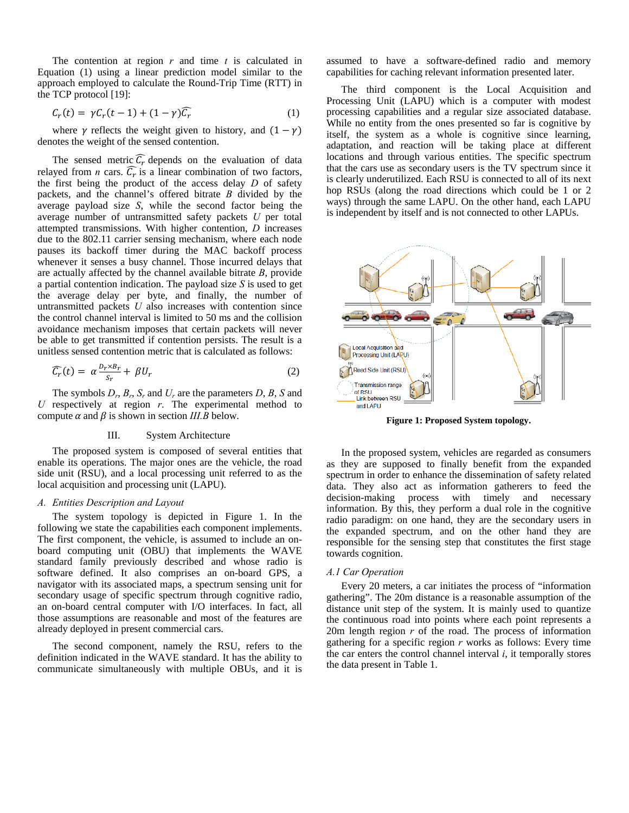The contention at region *r* and time *t* is calculated in Equation (1) using a linear prediction model similar to the approach employed to calculate the Round-Trip Time (RTT) in the TCP protocol [19]:

$$
C_r(t) = \gamma C_r(t-1) + (1-\gamma)\widehat{C_r}
$$
 (1)

where  $\gamma$  reflects the weight given to history, and  $(1 - \gamma)$ denotes the weight of the sensed contention.

The sensed metric  $\widehat{C_r}$  depends on the evaluation of data relayed from *n* cars.  $\widehat{C_r}$  is a linear combination of two factors, the first being the product of the access delay *D* of safety packets, and the channel's offered bitrate *B* divided by the average payload size *S*, while the second factor being the average number of untransmitted safety packets *U* per total attempted transmissions. With higher contention, *D* increases due to the 802.11 carrier sensing mechanism, where each node pauses its backoff timer during the MAC backoff process whenever it senses a busy channel. Those incurred delays that are actually affected by the channel available bitrate *B*, provide a partial contention indication. The payload size *S* is used to get the average delay per byte, and finally, the number of untransmitted packets *U* also increases with contention since the control channel interval is limited to 50 ms and the collision avoidance mechanism imposes that certain packets will never be able to get transmitted if contention persists. The result is a unitless sensed contention metric that is calculated as follows:

$$
\widehat{C_r}(t) = \alpha \frac{D_r \times B_r}{S_r} + \beta U_r \tag{2}
$$

The symbols *Dr*, *Br*, *Sr* and *Ur* are the parameters *D*, *B*, *S* and *U* respectively at region *r*. The experimental method to compute  $\alpha$  and  $\beta$  is shown in section *III.B* below.

#### III. System Architecture

The proposed system is composed of several entities that enable its operations. The major ones are the vehicle, the road side unit (RSU), and a local processing unit referred to as the local acquisition and processing unit (LAPU).

#### *A. Entities Description and Layout*

The system topology is depicted in Figure 1. In the following we state the capabilities each component implements. The first component, the vehicle, is assumed to include an onboard computing unit (OBU) that implements the WAVE standard family previously described and whose radio is software defined. It also comprises an on-board GPS, a navigator with its associated maps, a spectrum sensing unit for secondary usage of specific spectrum through cognitive radio, an on-board central computer with I/O interfaces. In fact, all those assumptions are reasonable and most of the features are already deployed in present commercial cars.

The second component, namely the RSU, refers to the definition indicated in the WAVE standard. It has the ability to communicate simultaneously with multiple OBUs, and it is

assumed to have a software-defined radio and memory capabilities for caching relevant information presented later.

The third component is the Local Acquisition and Processing Unit (LAPU) which is a computer with modest processing capabilities and a regular size associated database. While no entity from the ones presented so far is cognitive by itself, the system as a whole is cognitive since learning, adaptation, and reaction will be taking place at different locations and through various entities. The specific spectrum that the cars use as secondary users is the TV spectrum since it is clearly underutilized. Each RSU is connected to all of its next hop RSUs (along the road directions which could be 1 or 2 ways) through the same LAPU. On the other hand, each LAPU is independent by itself and is not connected to other LAPUs.



**Figure 1: Proposed System topology.** 

In the proposed system, vehicles are regarded as consumers as they are supposed to finally benefit from the expanded spectrum in order to enhance the dissemination of safety related data. They also act as information gatherers to feed the decision-making process with timely and necessary information. By this, they perform a dual role in the cognitive radio paradigm: on one hand, they are the secondary users in the expanded spectrum, and on the other hand they are responsible for the sensing step that constitutes the first stage towards cognition.

#### *A.1 Car Operation*

Every 20 meters, a car initiates the process of "information gathering". The 20m distance is a reasonable assumption of the distance unit step of the system. It is mainly used to quantize the continuous road into points where each point represents a 20m length region *r* of the road. The process of information gathering for a specific region *r* works as follows: Every time the car enters the control channel interval  $i$ , it temporally stores the data present in Table 1.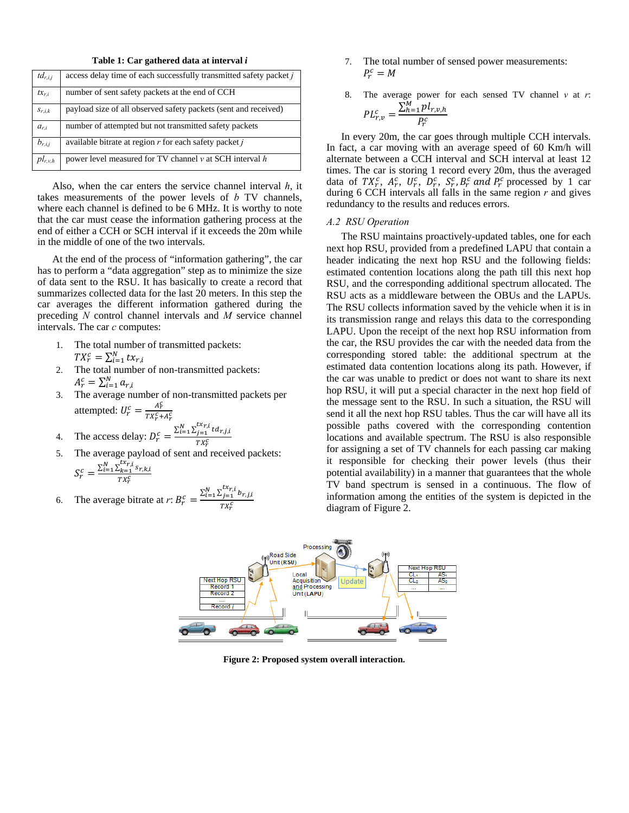**Table 1: Car gathered data at interval** *i* 

| $td_{r,i,j}$  | access delay time of each successfully transmitted safety packet j |
|---------------|--------------------------------------------------------------------|
| $tx_{r,i}$    | number of sent safety packets at the end of CCH                    |
| $S_{r,i,k}$   | payload size of all observed safety packets (sent and received)    |
| $a_{r,i}$     | number of attempted but not transmitted safety packets             |
| $b_{r, i, j}$ | available bitrate at region $r$ for each safety packet $j$         |
| $pl_{r,v,h}$  | power level measured for TV channel $\nu$ at SCH interval h        |

Also, when the car enters the service channel interval *h*, it takes measurements of the power levels of *b* TV channels, where each channel is defined to be 6 MHz. It is worthy to note that the car must cease the information gathering process at the end of either a CCH or SCH interval if it exceeds the 20m while in the middle of one of the two intervals.

At the end of the process of "information gathering", the car has to perform a "data aggregation" step as to minimize the size of data sent to the RSU. It has basically to create a record that summarizes collected data for the last 20 meters. In this step the car averages the different information gathered during the preceding *N* control channel intervals and *M* service channel intervals. The car *c* computes:

- 1. The total number of transmitted packets:  $TX_r^c = \sum_{i=1}^N tx_{r,i}$
- 2. The total number of non-transmitted packets:  $A_r^c = \sum_{i=1}^N a_{r,i}$
- 3. The average number of non-transmitted packets per attempted:  $U_r^c = \frac{A_r^c}{T r^c}$  $\overline{TX_r^c+A_r^c}$

4. The access delay: 
$$
D_r^c = \frac{\sum_{i=1}^{N} \sum_{j=1}^{tx_{r,i}} t d_{r,j,i}}{TX_r^c}
$$

5. The average payload of sent and received packets:  $N \nabla^{tx} r_i$ 

 $f(x)$ ,

$$
S_r^c = \frac{\sum_{i=1}^N \sum_{k=1}^{n-r} s_{r,k,i}}{TX_r^c}
$$

6. The average bitrate at r: 
$$
B_r^c = \frac{\sum_{i=1}^N \sum_{j=1}^{l x_{r,i}} b_{r,j,i}}{TX_r^c}
$$

- 7. The total number of sensed power measurements:  $P_r^c = M$
- 8. The average power for each sensed TV channel *v* at *r*:  $PL_{r,v}^c = \frac{\sum_{h=1}^{M} pl_{r,v,h}}{pc}$  $P_r^c$

In every 20m, the car goes through multiple CCH intervals. In fact, a car moving with an average speed of 60 Km/h will alternate between a CCH interval and SCH interval at least 12 times. The car is storing 1 record every 20m, thus the averaged data of  $TX_r^c$ ,  $A_r^c$ ,  $U_r^c$ ,  $D_r^c$ ,  $S_r^c$ ,  $B_r^c$  and  $P_r^c$  processed by 1 car during 6 CCH intervals all falls in the same region *r* and gives redundancy to the results and reduces errors.

## *A.2 RSU Operation*

The RSU maintains proactively-updated tables, one for each next hop RSU, provided from a predefined LAPU that contain a header indicating the next hop RSU and the following fields: estimated contention locations along the path till this next hop RSU, and the corresponding additional spectrum allocated. The RSU acts as a middleware between the OBUs and the LAPUs. The RSU collects information saved by the vehicle when it is in its transmission range and relays this data to the corresponding LAPU. Upon the receipt of the next hop RSU information from the car, the RSU provides the car with the needed data from the corresponding stored table: the additional spectrum at the estimated data contention locations along its path. However, if the car was unable to predict or does not want to share its next hop RSU, it will put a special character in the next hop field of the message sent to the RSU. In such a situation, the RSU will send it all the next hop RSU tables. Thus the car will have all its possible paths covered with the corresponding contention locations and available spectrum. The RSU is also responsible for assigning a set of TV channels for each passing car making it responsible for checking their power levels (thus their potential availability) in a manner that guarantees that the whole TV band spectrum is sensed in a continuous. The flow of information among the entities of the system is depicted in the diagram of Figure 2.



**Figure 2: Proposed system overall interaction.**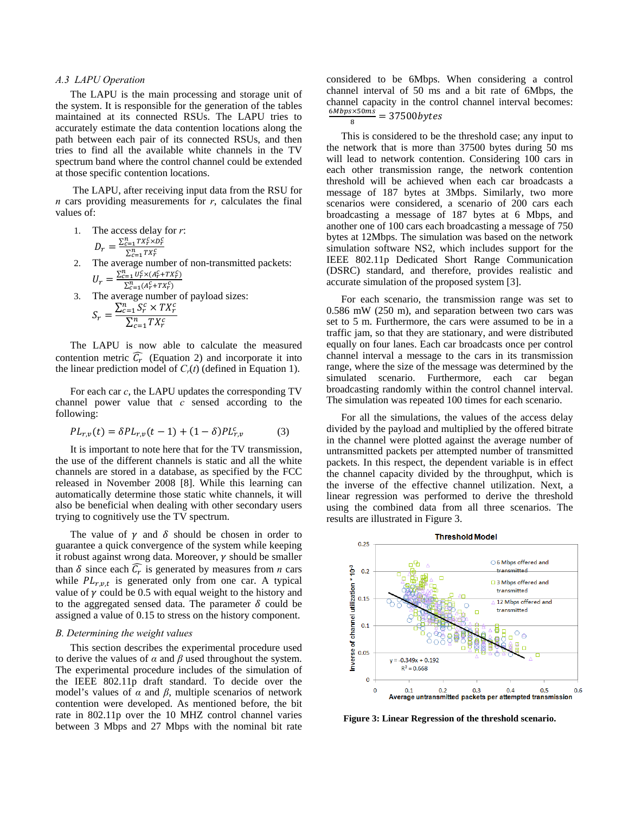## *A.3 LAPU Operation*

The LAPU is the main processing and storage unit of the system. It is responsible for the generation of the tables maintained at its connected RSUs. The LAPU tries to accurately estimate the data contention locations along the path between each pair of its connected RSUs, and then tries to find all the available white channels in the TV spectrum band where the control channel could be extended at those specific contention locations.

 The LAPU, after receiving input data from the RSU for *n* cars providing measurements for *r*, calculates the final values of:

- 1. The access delay for *r*:  $D_r = \frac{\sum_{c=1}^{n} TX_r^c \times D_r^c}{\sum_{r}^{n} TX_r^c}$  $\sum_{c=1}^n TX_r^c$
- 2. The average number of non-transmitted packets:  $U_r = \frac{\sum_{c=1}^{n} U_r^c \times (A_r^c + TX_r^c)}{\sum_{r}^{n} (A_r^c + TX_r^c)}$
- $\sigma_r \frac{\sum_{c=1}^{n} (A_r^c + TX_r^c)}{\sum_{c=1}^{n} (A_r^c + TX_r^c)}$ <br>3. The average number of payload sizes:  $S_r = \frac{\sum_{c=1}^{n} S_r^c \times TX_r^c}{\sum_{r}^{n} T_{r}^{rc}}$  $\sum_{c=1}^n TX_r^c$

The LAPU is now able to calculate the measured contention metric  $\widehat{C}_r$  (Equation 2) and incorporate it into the linear prediction model of  $C_r(t)$  (defined in Equation 1).

For each car *c*, the LAPU updates the corresponding TV channel power value that *c* sensed according to the following:

$$
PL_{r,v}(t) = \delta PL_{r,v}(t-1) + (1-\delta)PL_{r,v}^{c}
$$
 (3)

It is important to note here that for the TV transmission, the use of the different channels is static and all the white channels are stored in a database, as specified by the FCC released in November 2008 [8]. While this learning can automatically determine those static white channels, it will also be beneficial when dealing with other secondary users trying to cognitively use the TV spectrum.

The value of  $\gamma$  and  $\delta$  should be chosen in order to guarantee a quick convergence of the system while keeping it robust against wrong data. Moreover,  $\gamma$  should be smaller than  $\delta$  since each  $\widehat{C_r}$  is generated by measures from *n* cars while  $PL_{r,v,t}$  is generated only from one car. A typical value of  $\gamma$  could be 0.5 with equal weight to the history and to the aggregated sensed data. The parameter  $\delta$  could be assigned a value of 0.15 to stress on the history component.

#### *B. Determining the weight values*

This section describes the experimental procedure used to derive the values of  $\alpha$  and  $\beta$  used throughout the system. The experimental procedure includes of the simulation of the IEEE 802.11p draft standard. To decide over the model's values of  $\alpha$  and  $\beta$ , multiple scenarios of network contention were developed. As mentioned before, the bit rate in 802.11p over the 10 MHZ control channel varies between 3 Mbps and 27 Mbps with the nominal bit rate

considered to be 6Mbps. When considering a control channel interval of 50 ms and a bit rate of 6Mbps, the channel capacity in the control channel interval becomes:  $\frac{6Mbps \times 50ms}{8} = 37500 bytes$ 

This is considered to be the threshold case; any input to the network that is more than 37500 bytes during 50 ms will lead to network contention. Considering 100 cars in each other transmission range, the network contention threshold will be achieved when each car broadcasts a message of 187 bytes at 3Mbps. Similarly, two more scenarios were considered, a scenario of 200 cars each broadcasting a message of 187 bytes at 6 Mbps, and another one of 100 cars each broadcasting a message of 750 bytes at 12Mbps. The simulation was based on the network simulation software NS2, which includes support for the IEEE 802.11p Dedicated Short Range Communication (DSRC) standard, and therefore, provides realistic and accurate simulation of the proposed system [3].

For each scenario, the transmission range was set to 0.586 mW (250 m), and separation between two cars was set to 5 m. Furthermore, the cars were assumed to be in a traffic jam, so that they are stationary, and were distributed equally on four lanes. Each car broadcasts once per control channel interval a message to the cars in its transmission range, where the size of the message was determined by the simulated scenario. Furthermore, each car began broadcasting randomly within the control channel interval. The simulation was repeated 100 times for each scenario.

For all the simulations, the values of the access delay divided by the payload and multiplied by the offered bitrate in the channel were plotted against the average number of untransmitted packets per attempted number of transmitted packets. In this respect, the dependent variable is in effect the channel capacity divided by the throughput, which is the inverse of the effective channel utilization. Next, a linear regression was performed to derive the threshold using the combined data from all three scenarios. The results are illustrated in Figure 3.



**Figure 3: Linear Regression of the threshold scenario.**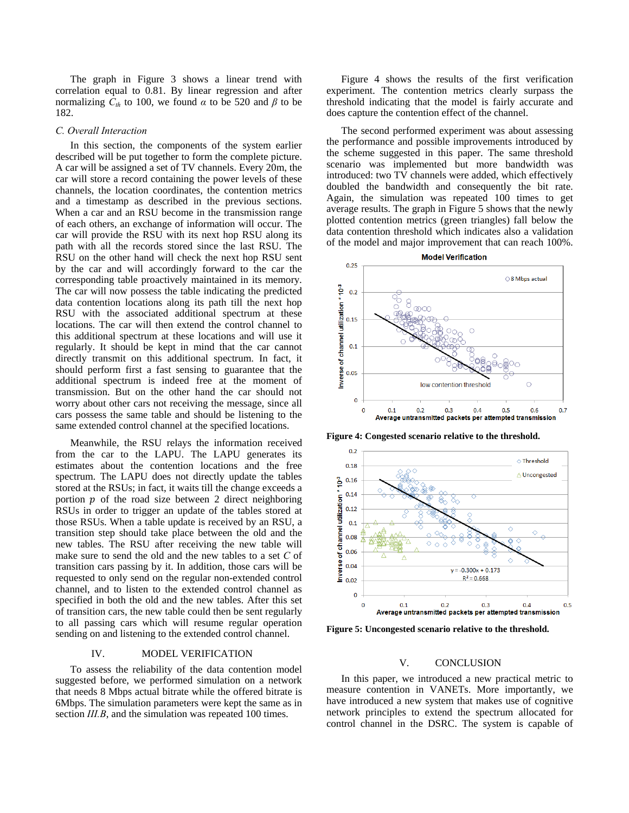The graph in Figure 3 shows a linear trend with correlation equal to 0.81. By linear regression and after normalizing  $C_{th}$  to 100, we found *α* to be 520 and *β* to be 182.

#### *C. Overall Interaction*

In this section, the components of the system earlier described will be put together to form the complete picture. A car will be assigned a set of TV channels. Every 20m, the car will store a record containing the power levels of these channels, the location coordinates, the contention metrics and a timestamp as described in the previous sections. When a car and an RSU become in the transmission range of each others, an exchange of information will occur. The car will provide the RSU with its next hop RSU along its path with all the records stored since the last RSU. The RSU on the other hand will check the next hop RSU sent by the car and will accordingly forward to the car the corresponding table proactively maintained in its memory. The car will now possess the table indicating the predicted data contention locations along its path till the next hop RSU with the associated additional spectrum at these locations. The car will then extend the control channel to this additional spectrum at these locations and will use it regularly. It should be kept in mind that the car cannot directly transmit on this additional spectrum. In fact, it should perform first a fast sensing to guarantee that the additional spectrum is indeed free at the moment of transmission. But on the other hand the car should not worry about other cars not receiving the message, since all cars possess the same table and should be listening to the same extended control channel at the specified locations.

Meanwhile, the RSU relays the information received from the car to the LAPU. The LAPU generates its estimates about the contention locations and the free spectrum. The LAPU does not directly update the tables stored at the RSUs; in fact, it waits till the change exceeds a portion  $p$  of the road size between 2 direct neighboring RSUs in order to trigger an update of the tables stored at those RSUs. When a table update is received by an RSU, a transition step should take place between the old and the new tables. The RSU after receiving the new table will make sure to send the old and the new tables to a set *C* of transition cars passing by it. In addition, those cars will be requested to only send on the regular non-extended control channel, and to listen to the extended control channel as specified in both the old and the new tables. After this set of transition cars, the new table could then be sent regularly to all passing cars which will resume regular operation sending on and listening to the extended control channel.

## IV. MODEL VERIFICATION

To assess the reliability of the data contention model suggested before, we performed simulation on a network that needs 8 Mbps actual bitrate while the offered bitrate is 6Mbps. The simulation parameters were kept the same as in section *III.B*, and the simulation was repeated 100 times.

Figure 4 shows the results of the first verification experiment. The contention metrics clearly surpass the threshold indicating that the model is fairly accurate and does capture the contention effect of the channel.

The second performed experiment was about assessing the performance and possible improvements introduced by the scheme suggested in this paper. The same threshold scenario was implemented but more bandwidth was introduced: two TV channels were added, which effectively doubled the bandwidth and consequently the bit rate. Again, the simulation was repeated 100 times to get average results. The graph in Figure 5 shows that the newly plotted contention metrics (green triangles) fall below the data contention threshold which indicates also a validation of the model and major improvement that can reach 100%.



**Figure 4: Congested scenario relative to the threshold.** 



**Figure 5: Uncongested scenario relative to the threshold.** 

## V. CONCLUSION

In this paper, we introduced a new practical metric to measure contention in VANETs. More importantly, we have introduced a new system that makes use of cognitive network principles to extend the spectrum allocated for control channel in the DSRC. The system is capable of